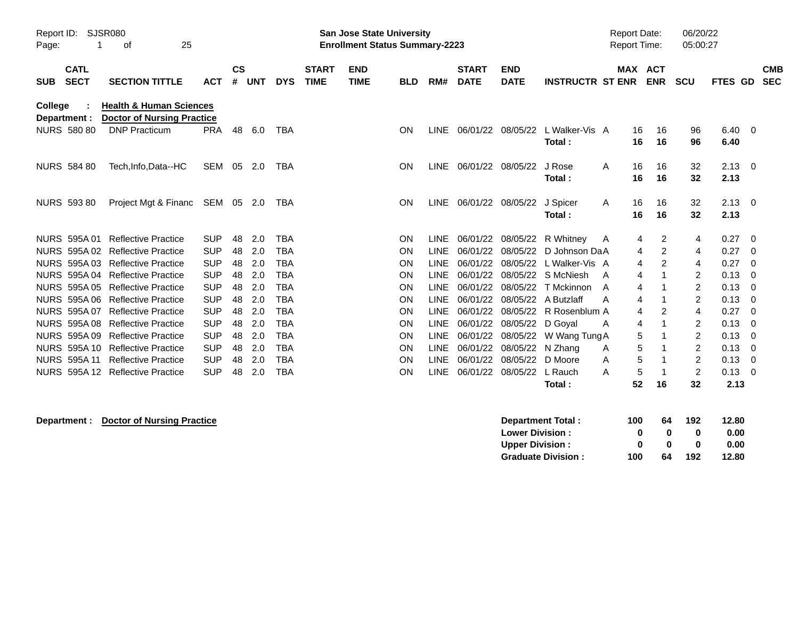| SJSR080<br>Report ID:<br>25<br>οf<br>Page: |                            |                                                                         |            | San Jose State University<br><b>Enrollment Status Summary-2223</b> |            |            |                             |                           |            |             |                             |                           | <b>Report Date:</b><br><b>Report Time:</b> |            |          | 06/20/22<br>05:00:27     |            |                |                          |
|--------------------------------------------|----------------------------|-------------------------------------------------------------------------|------------|--------------------------------------------------------------------|------------|------------|-----------------------------|---------------------------|------------|-------------|-----------------------------|---------------------------|--------------------------------------------|------------|----------|--------------------------|------------|----------------|--------------------------|
| <b>SUB</b>                                 | <b>CATL</b><br><b>SECT</b> | <b>SECTION TITTLE</b>                                                   | <b>ACT</b> | $\mathsf{cs}$<br>#                                                 | <b>UNT</b> | <b>DYS</b> | <b>START</b><br><b>TIME</b> | <b>END</b><br><b>TIME</b> | <b>BLD</b> | RM#         | <b>START</b><br><b>DATE</b> | <b>END</b><br><b>DATE</b> | <b>INSTRUCTR ST ENR</b>                    | <b>MAX</b> |          | <b>ACT</b><br><b>ENR</b> | <b>SCU</b> | <b>FTES GD</b> | <b>CMB</b><br><b>SEC</b> |
| College                                    | Department :               | <b>Health &amp; Human Sciences</b><br><b>Doctor of Nursing Practice</b> |            |                                                                    |            |            |                             |                           |            |             |                             |                           |                                            |            |          |                          |            |                |                          |
|                                            | <b>NURS 580 80</b>         | <b>DNP Practicum</b>                                                    | <b>PRA</b> | 48                                                                 | 6.0        | TBA        |                             |                           | ON         | <b>LINE</b> | 06/01/22                    | 08/05/22                  | L Walker-Vis A<br>Total:                   |            | 16<br>16 | 16<br>16                 | 96<br>96   | 6.40<br>6.40   | - 0                      |
|                                            | <b>NURS 584 80</b>         | Tech, Info, Data--HC                                                    | SEM        | - 05                                                               | 2.0        | <b>TBA</b> |                             |                           | ON         | <b>LINE</b> | 06/01/22 08/05/22           |                           | J Rose<br>Total:                           | A          | 16<br>16 | 16<br>16                 | 32<br>32   | 2.13<br>2.13   | $\overline{0}$           |
|                                            | <b>NURS 593 80</b>         | Project Mgt & Financ                                                    | SEM 05     |                                                                    | - 2.0      | <b>TBA</b> |                             |                           | ON         | LINE        | 06/01/22                    | 08/05/22                  | J Spicer<br>Total:                         | A          | 16<br>16 | 16<br>16                 | 32<br>32   | 2.13<br>2.13   | $\overline{0}$           |
|                                            | NURS 595A 01               | <b>Reflective Practice</b>                                              | <b>SUP</b> | 48                                                                 | 2.0        | <b>TBA</b> |                             |                           | ON         | <b>LINE</b> | 06/01/22                    | 08/05/22                  | R Whitney                                  | A          | 4        | 2                        | 4          | 0.27           | $\mathbf 0$              |
|                                            | <b>NURS 595A02</b>         | <b>Reflective Practice</b>                                              | <b>SUP</b> | 48                                                                 | 2.0        | <b>TBA</b> |                             |                           | ON         | <b>LINE</b> | 06/01/22                    | 08/05/22                  | D Johnson DaA                              |            | 4        | 2                        | 4          | 0.27           | 0                        |
|                                            |                            | NURS 595A 03 Reflective Practice                                        | <b>SUP</b> | 48                                                                 | 2.0        | <b>TBA</b> |                             |                           | ON         | <b>LINE</b> | 06/01/22                    | 08/05/22                  | L Walker-Vis A                             |            | 4        | 2                        | 4          | 0.27           | 0                        |
|                                            |                            | NURS 595A 04 Reflective Practice                                        | <b>SUP</b> | 48                                                                 | 2.0        | <b>TBA</b> |                             |                           | ΟN         | <b>LINE</b> | 06/01/22                    | 08/05/22                  | S McNiesh                                  | A          | 4        |                          | 2          | 0.13           | 0                        |
| <b>NURS</b>                                |                            | 595A 05 Reflective Practice                                             | <b>SUP</b> | 48                                                                 | 2.0        | <b>TBA</b> |                             |                           | ON         | <b>LINE</b> | 06/01/22                    | 08/05/22                  | T Mckinnon                                 | A          | 4        |                          | 2          | 0.13           | 0                        |
|                                            | NURS 595A 06               | <b>Reflective Practice</b>                                              | <b>SUP</b> | 48                                                                 | 2.0        | <b>TBA</b> |                             |                           | ON         | <b>LINE</b> | 06/01/22                    | 08/05/22                  | A Butzlaff                                 | А          | 4        |                          | 2          | 0.13           | 0                        |
|                                            | NURS 595A 07               | <b>Reflective Practice</b>                                              | <b>SUP</b> | 48                                                                 | 2.0        | <b>TBA</b> |                             |                           | ON         | <b>LINE</b> | 06/01/22                    | 08/05/22                  | R Rosenblum A                              |            | 4        | 2                        | 4          | 0.27           | 0                        |
|                                            |                            | NURS 595A 08 Reflective Practice                                        | <b>SUP</b> | 48                                                                 | 2.0        | <b>TBA</b> |                             |                           | ON         | <b>LINE</b> | 06/01/22                    | 08/05/22                  | D Goyal                                    | A          | 4        |                          | 2          | 0.13           | 0                        |
| <b>NURS</b>                                | 595A 09                    | <b>Reflective Practice</b>                                              | <b>SUP</b> | 48                                                                 | 2.0        | TBA        |                             |                           | ON         | <b>LINE</b> | 06/01/22                    | 08/05/22                  | W Wang Tung A                              |            | 5        |                          | 2          | 0.13           | 0                        |
|                                            | <b>NURS 595A10</b>         | <b>Reflective Practice</b>                                              | <b>SUP</b> | 48                                                                 | 2.0        | <b>TBA</b> |                             |                           | ON         | LINE        | 06/01/22                    | 08/05/22                  | N Zhang                                    | A          | 5        |                          | 2          | 0.13           | 0                        |
|                                            | <b>NURS 595A11</b>         | <b>Reflective Practice</b>                                              | <b>SUP</b> | 48                                                                 | 2.0        | <b>TBA</b> |                             |                           | ON         | <b>LINE</b> | 06/01/22                    | 08/05/22                  | D Moore                                    | A          | 5        |                          | 2          | 0.13           | 0                        |
|                                            | NURS 595A 12               | <b>Reflective Practice</b>                                              | <b>SUP</b> | 48                                                                 | 2.0        | <b>TBA</b> |                             |                           | ON         | LINE.       | 06/01/22                    | 08/05/22                  | L Rauch<br>Total :                         | A          | 5<br>52  | 16                       | 2<br>32    | 0.13<br>2.13   | 0                        |

## **Department : Doctor of Nursing Practice**

| <b>Department Total:</b>  | 100 | 64           | 192 | 12.80 |
|---------------------------|-----|--------------|-----|-------|
| <b>Lower Division :</b>   | o   | $\mathbf{u}$ | 0   | 0.00  |
| <b>Upper Division :</b>   | o   | n            | 0   | 0.00  |
| <b>Graduate Division:</b> | 100 | 64           | 192 | 12.80 |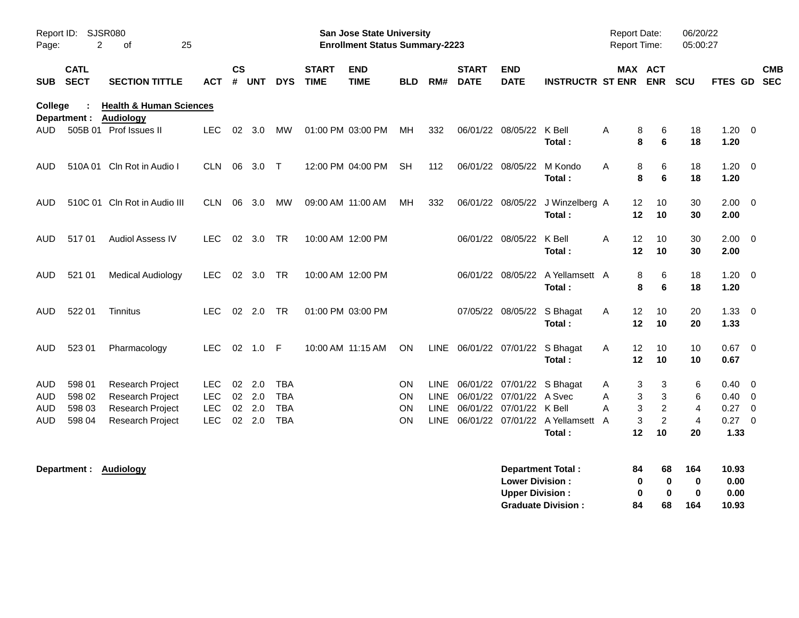| Report ID: SJSR080<br>2<br>25<br>Page:<br>οf |                            |                                                        | San Jose State University<br><b>Enrollment Status Summary-2223</b> |                    |                 |                          |                             |                           |                        |      |                             |                                                  | <b>Report Date:</b><br>Report Time:                   |        |                         | 06/20/22<br>05:00:27                   |                                        |                                  |                         |                          |
|----------------------------------------------|----------------------------|--------------------------------------------------------|--------------------------------------------------------------------|--------------------|-----------------|--------------------------|-----------------------------|---------------------------|------------------------|------|-----------------------------|--------------------------------------------------|-------------------------------------------------------|--------|-------------------------|----------------------------------------|----------------------------------------|----------------------------------|-------------------------|--------------------------|
| SUB                                          | <b>CATL</b><br><b>SECT</b> | <b>SECTION TITTLE</b>                                  | ACT                                                                | $\mathsf{cs}$<br># | <b>UNT</b>      | <b>DYS</b>               | <b>START</b><br><b>TIME</b> | <b>END</b><br><b>TIME</b> | <b>BLD</b>             | RM#  | <b>START</b><br><b>DATE</b> | <b>END</b><br><b>DATE</b>                        | <b>INSTRUCTR ST ENR</b>                               |        | MAX ACT                 | <b>ENR</b>                             | <b>SCU</b>                             | FTES GD                          |                         | <b>CMB</b><br><b>SEC</b> |
| College                                      | Department :               | <b>Health &amp; Human Sciences</b><br><b>Audiology</b> |                                                                    |                    |                 |                          |                             |                           |                        |      |                             |                                                  |                                                       |        |                         |                                        |                                        |                                  |                         |                          |
| AUD.                                         |                            | 505B 01 Prof Issues II                                 | <b>LEC</b>                                                         |                    | 02 3.0          | MW                       |                             | 01:00 PM 03:00 PM         | MH.                    | 332  |                             | 06/01/22 08/05/22                                | K Bell<br>Total:                                      | A      | 8<br>8                  | 6<br>6                                 | 18<br>18                               | $1.20 \t 0$<br>1.20              |                         |                          |
| AUD                                          |                            | 510A 01 Cln Rot in Audio I                             | CLN.                                                               | 06                 | 3.0             | $\top$                   |                             | 12:00 PM 04:00 PM         | <b>SH</b>              | 112  |                             | 06/01/22 08/05/22                                | M Kondo<br>Total:                                     | A      | 8<br>8                  | 6<br>6                                 | 18<br>18                               | 1.20<br>1.20                     | $\overline{\mathbf{0}}$ |                          |
| AUD                                          |                            | 510C 01 Cln Rot in Audio III                           | CLN.                                                               | 06                 | 3.0             | MW                       |                             | 09:00 AM 11:00 AM         | MН                     | 332  |                             | 06/01/22 08/05/22                                | J Winzelberg A<br>Total:                              |        | 12<br>12                | 10<br>10                               | 30<br>30                               | $2.00 \t 0$<br>2.00              |                         |                          |
| <b>AUD</b>                                   | 51701                      | <b>Audiol Assess IV</b>                                | LEC.                                                               |                    | 02 3.0          | TR                       |                             | 10:00 AM 12:00 PM         |                        |      |                             | 06/01/22 08/05/22                                | K Bell<br>Total:                                      | A      | $12 \overline{ }$<br>12 | 10<br>10                               | 30<br>30                               | $2.00 \t 0$<br>2.00              |                         |                          |
| AUD                                          | 521 01                     | <b>Medical Audiology</b>                               | <b>LEC</b>                                                         |                    | 02 3.0          | TR                       |                             | 10:00 AM 12:00 PM         |                        |      |                             | 06/01/22 08/05/22                                | A Yellamsett A<br>Total:                              |        | 8<br>8                  | 6<br>6                                 | 18<br>18                               | $1.20 \t 0$<br>1.20              |                         |                          |
| AUD                                          | 522 01                     | Tinnitus                                               | LEC.                                                               |                    | 02 2.0          | <b>TR</b>                |                             | 01:00 PM 03:00 PM         |                        |      |                             | 07/05/22 08/05/22                                | S Bhagat<br>Total:                                    | A      | 12<br>12                | 10<br>10                               | 20<br>20                               | $1.33 \ 0$<br>1.33               |                         |                          |
| <b>AUD</b>                                   | 523 01                     | Pharmacology                                           | <b>LEC</b>                                                         | 02                 | 1.0 F           |                          | 10:00 AM 11:15 AM           |                           | <b>ON</b>              |      |                             |                                                  | LINE 06/01/22 07/01/22 S Bhagat<br>Total:             | A      | 12<br>$12 \,$           | 10<br>10                               | 10<br>10                               | $0.67$ 0<br>0.67                 |                         |                          |
| AUD<br>AUD                                   | 598 01<br>598 02           | Research Project<br>Research Project                   | LEC.<br><b>LEC</b>                                                 | 02                 | $02$ 2.0<br>2.0 | <b>TBA</b><br><b>TBA</b> |                             |                           | <b>ON</b><br><b>ON</b> |      |                             | LINE 06/01/22 07/01/22 A Svec                    | LINE 06/01/22 07/01/22 S Bhagat                       | A<br>A | 3<br>3                  | 3<br>3                                 | 6<br>6                                 | $0.40 \quad 0$<br>$0.40 \quad 0$ |                         |                          |
| AUD<br>AUD                                   | 598 03<br>598 04           | Research Project<br>Research Project                   | <b>LEC</b><br><b>LEC</b>                                           | 02                 | 2.0<br>02 2.0   | <b>TBA</b><br><b>TBA</b> |                             |                           | <b>ON</b><br><b>ON</b> | LINE |                             | 06/01/22 07/01/22 K Bell                         | LINE 06/01/22 07/01/22 A Yellamsett A<br>Total:       | A      | 3<br>3<br>$12 \,$       | $\overline{c}$<br>$\overline{c}$<br>10 | $\overline{4}$<br>$\overline{4}$<br>20 | 0.27<br>0.27 0<br>1.33           | $\overline{\mathbf{0}}$ |                          |
|                                              |                            | Department: Audiology                                  |                                                                    |                    |                 |                          |                             |                           |                        |      |                             | <b>Lower Division:</b><br><b>Upper Division:</b> | <b>Department Total:</b><br><b>Graduate Division:</b> |        | 84<br>0<br>0<br>84      | 68<br>$\bf{0}$<br>$\bf{0}$<br>68       | 164<br>0<br>$\bf{0}$<br>164            | 10.93<br>0.00<br>0.00<br>10.93   |                         |                          |